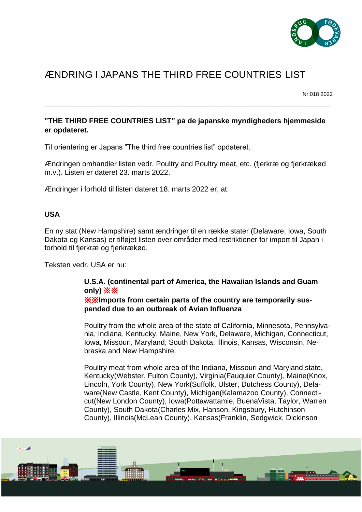

## ÆNDRING I JAPANS THE THIRD FREE COUNTRIES LIST

Nr.018 2022

## **"THE THIRD FREE COUNTRIES LIST" på de japanske myndigheders hjemmeside er opdateret.**

\_\_\_\_\_\_\_\_\_\_\_\_\_\_\_\_\_\_\_\_\_\_\_\_\_\_\_\_\_\_\_\_\_\_\_\_\_\_\_\_\_\_\_\_\_\_\_\_\_\_\_\_\_\_\_\_\_\_\_\_\_\_\_\_\_\_\_\_\_\_\_\_\_\_\_\_\_\_\_\_\_\_\_\_\_\_\_\_\_\_\_\_\_\_

Til orientering er Japans "The third free countries list" opdateret.

Ændringen omhandler listen vedr. Poultry and Poultry meat, etc. (fjerkræ og fjerkrækød m.v.). Listen er dateret 23. marts 2022.

Ændringer i forhold til listen dateret 18. marts 2022 er, at:

## **USA**

En ny stat (New Hampshire) samt ændringer til en række stater (Delaware, Iowa, South Dakota og Kansas) er tilføjet listen over områder med restriktioner for import til Japan i forhold til fjerkræ og fjerkrækød.

Teksten vedr. USA er nu:

## **U.S.A. (continental part of America, the Hawaiian Islands and Guam only)** ※※ ※※**Imports from certain parts of the country are temporarily suspended due to an outbreak of Avian Influenza**

Poultry from the whole area of the state of California, Minnesota, Pennsylvania, Indiana, Kentucky, Maine, New York, Delaware, Michigan, Connecticut, Iowa, Missouri, Maryland, South Dakota, Illinois, Kansas, Wisconsin, Nebraska and New Hampshire.

Poultry meat from whole area of the Indiana, Missouri and Maryland state, Kentucky(Webster, Fulton County), Virginia(Fauquier County), Maine(Knox, Lincoln, York County), New York(Suffolk, Ulster, Dutchess County), Delaware(New Castle, Kent County), Michigan(Kalamazoo County), Connecticut(New London County), Iowa(Pottawattamie, BuenaVista, Taylor, Warren County), South Dakota(Charles Mix, Hanson, Kingsbury, Hutchinson County), Illinois(McLean County), Kansas(Franklin, Sedgwick, Dickinson